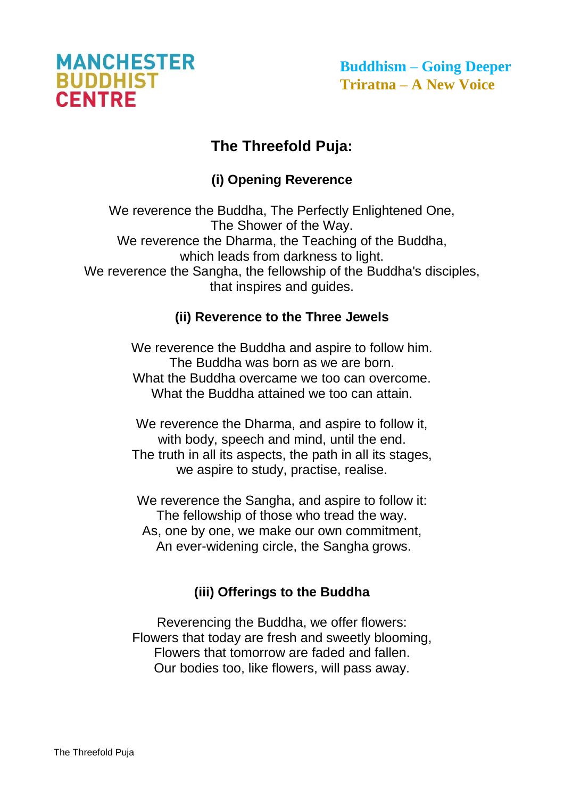

**Buddhism – Going Deeper Triratna – A New Voice**

## **The Threefold Puja:**

## **(i) Opening Reverence**

We reverence the Buddha, The Perfectly Enlightened One, The Shower of the Way. We reverence the Dharma, the Teaching of the Buddha, which leads from darkness to light. We reverence the Sangha, the fellowship of the Buddha's disciples, that inspires and guides.

## **(ii) Reverence to the Three Jewels**

We reverence the Buddha and aspire to follow him. The Buddha was born as we are born. What the Buddha overcame we too can overcome. What the Buddha attained we too can attain.

We reverence the Dharma, and aspire to follow it, with body, speech and mind, until the end. The truth in all its aspects, the path in all its stages, we aspire to study, practise, realise.

We reverence the Sangha, and aspire to follow it: The fellowship of those who tread the way. As, one by one, we make our own commitment, An ever-widening circle, the Sangha grows.

## **(iii) Offerings to the Buddha**

Reverencing the Buddha, we offer flowers: Flowers that today are fresh and sweetly blooming, Flowers that tomorrow are faded and fallen. Our bodies too, like flowers, will pass away.